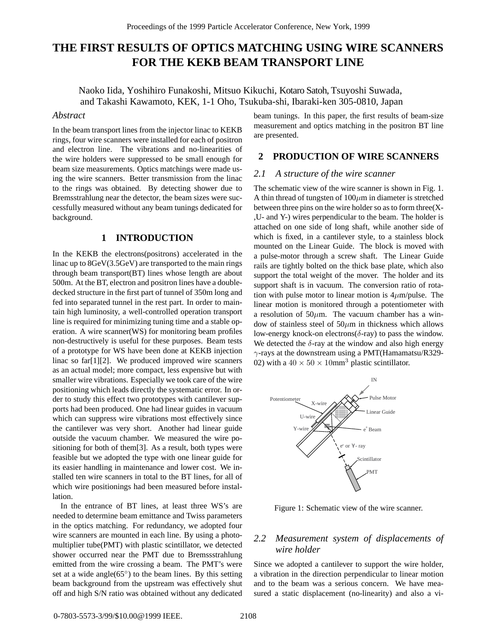# **THE FIRST RESULTS OF OPTICS MATCHING USING WIRE SCANNERS FOR THE KEKB BEAM TRANSPORT LINE**

Naoko Iida, Yoshihiro Funakoshi, Mitsuo Kikuchi, Kotaro Satoh, Tsuyoshi Suwada, and Takashi Kawamoto, KEK, 1-1 Oho, Tsukuba-shi, Ibaraki-ken 305-0810, Japan

#### *Abstract*

In the beam transport lines from the injector linac to KEKB rings, four wire scanners were installed for each of positron and electron line. The vibrations and no-linearities of the wire holders were suppressed to be small enough for beam size measurements. Optics matchings were made using the wire scanners. Better transmission from the linac to the rings was obtained. By detecting shower due to Bremsstrahlung near the detector, the beam sizes were successfully measured without any beam tunings dedicated for background.

#### **1 INTRODUCTION**

In the KEKB the electrons(positrons) accelerated in the linac up to 8GeV(3.5GeV) are transported to the main rings through beam transport(BT) lines whose length are about 500m. At the BT, electron and positron lines have a doubledecked structure in the first part of tunnel of 350m long and fed into separated tunnel in the rest part. In order to maintain high luminosity, a well-controlled operation transport line is required for minimizing tuning time and a stable operation. A wire scanner(WS) for monitoring beam profiles non-destructively is useful for these purposes. Beam tests of a prototype for WS have been done at KEKB injection linac so far[1][2]. We produced improved wire scanners as an actual model; more compact, less expensive but with smaller wire vibrations. Especially we took care of the wire positioning which leads directly the systematic error. In order to study this effect two prototypes with cantilever supports had been produced. One had linear guides in vacuum which can suppress wire vibrations most effectively since the cantilever was very short. Another had linear guide outside the vacuum chamber. We measured the wire positioning for both of them[3]. As a result, both types were feasible but we adopted the type with one linear guide for its easier handling in maintenance and lower cost. We installed ten wire scanners in total to the BT lines, for all of which wire positionings had been measured before installation.

In the entrance of BT lines, at least three WS's are needed to determine beam emittance and Twiss parameters in the optics matching. For redundancy, we adopted four wire scanners are mounted in each line. By using a photomultiplier tube(PMT) with plastic scintillator, we detected shower occurred near the PMT due to Bremssstrahlung emitted from the wire crossing a beam. The PMT's were set at a wide angle $(65°)$  to the beam lines. By this setting beam background from the upstream was effectively shut off and high S/N ratio was obtained without any dedicated

beam tunings. In this paper, the first results of beam-size measurement and optics matching in the positron BT line are presented.

## **2 PRODUCTION OF WIRE SCANNERS**

### *2.1 A structure of the wire scanner*

The schematic view of the wire scanner is shown in Fig. 1. A thin thread of tungsten of  $100 \mu m$  in diameter is stretched between three pins on the wire holder so as to form three(X- ,U- and Y-) wires perpendicular to the beam. The holder is attached on one side of long shaft, while another side of which is fixed, in a cantilever style, to a stainless block mounted on the Linear Guide. The block is moved with a pulse-motor through a screw shaft. The Linear Guide rails are tightly bolted on the thick base plate, which also support the total weight of the mover. The holder and its support shaft is in vacuum. The conversion ratio of rotation with pulse motor to linear motion is  $4\mu$ m/pulse. The linear motion is monitored through a potentiometer with a resolution of  $50\mu$ m. The vacuum chamber has a window of stainless steel of  $50\mu m$  in thickness which allows low-energy knock-on electrons( $\delta$ -ray) to pass the window. We detected the  $\delta$ -ray at the window and also high energy γ-rays at the downstream using a PMT(Hamamatsu/R329- 02) with a  $40 \times 50 \times 10$  mm<sup>3</sup> plastic scintillator.



Figure 1: Schematic view of the wire scanner.

## *2.2 Measurement system of displacements of wire holder*

Since we adopted a cantilever to support the wire holder, a vibration in the direction perpendicular to linear motion and to the beam was a serious concern. We have measured a static displacement (no-linearity) and also a vi-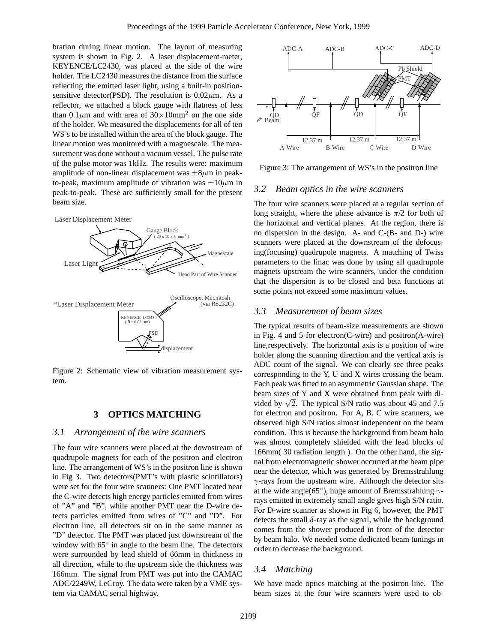bration during linear motion. The layout of measuring system is shown in Fig. 2. A laser displacement-meter, KEYENCE/LC2430, was placed at the side of the wire holder. The LC2430 measures the distance from the surface reflecting the emitted laser light, using a built-in positionsensitive detector(PSD). The resolution is  $0.02 \mu$ m. As a reflector, we attached a block gauge with flatness of less than 0.1 $\mu$ m and with area of 30×10mm<sup>2</sup> on the one side of the holder. We measured the displacements for all of ten WS's to be installed within the area of the block gauge. The linear motion was monitored with a magnescale. The measurement was done without a vacuum vessel. The pulse rate of the pulse motor was 1kHz. The results were: maximum amplitude of non-linear displacement was  $\pm 8\mu$ m in peakto-peak, maximum amplitude of vibration was  $\pm 10 \mu m$  in peak-to-peak. These are sufficiently small for the present beam size.



Figure 2: Schematic view of vibration measurement system.

## **3 OPTICS MATCHING**

#### *3.1 Arrangement of the wire scanners*

The four wire scanners were placed at the downstream of quadrupole magnets for each of the positron and electron line. The arrangement of WS's in the positron line is shown in Fig 3. Two detectors(PMT's with plastic scintillators) were set for the four wire scanners: One PMT located near the C-wire detects high energy particles emitted from wires of "A" and "B", while another PMT near the D-wire detects particles emitted from wires of "C" and "D". For electron line, all detectors sit on in the same manner as "D" detector. The PMT was placed just downstream of the window with 65<sup>°</sup> in angle to the beam line. The detectors were surrounded by lead shield of 66mm in thickness in all direction, while to the upstream side the thickness was 166mm. The signal from PMT was put into the CAMAC ADC/2249W, LeCroy. The data were taken by a VME system via CAMAC serial highway.



Figure 3: The arrangement of WS's in the positron line

#### *3.2 Beam optics in the wire scanners*

The four wire scanners were placed at a regular section of long straight, where the phase advance is  $\pi/2$  for both of the horizontal and vertical planes. At the region, there is no dispersion in the design. A- and C-(B- and D-) wire scanners were placed at the downstream of the defocusing(focusing) quadrupole magnets. A matching of Twiss parameters to the linac was done by using all quadrupole magnets upstream the wire scanners, under the condition that the dispersion is to be closed and beta functions at some points not exceed some maximum values.

#### *3.3 Measurement of beam sizes*

The typical results of beam-size measurements are shown in Fig. 4 and 5 for electron(C-wire) and positron(A-wire) line,respectively. The horizontal axis is a position of wire holder along the scanning direction and the vertical axis is ADC count of the signal. We can clearly see three peaks corresponding to the Y, U and X wires crossing the beam. Each peak was fitted to an asymmetric Gaussian shape. The beam sizes of Y and X were obtained from peak with divided by  $\sqrt{2}$ . The typical S/N ratio was about 45 and 7.5 for electron and positron. For A, B, C wire scanners, we observed high S/N ratios almost independent on the beam condition. This is because the background from beam halo was almost completely shielded with the lead blocks of 166mm( 30 radiation length ). On the other hand, the signal from electromagnetic shower occurred at the beam pipe near the detector, which was generated by Bremsstrahlung  $\gamma$ -rays from the upstream wire. Although the detector sits at the wide angle(65<sup>°</sup>), huge amount of Bremsstrahlung  $\gamma$ rays emitted in extremely small angle gives high S/N ratio. For D-wire scanner as shown in Fig 6, however, the PMT detects the small  $\delta$ -ray as the signal, while the background comes from the shower produced in front of the detector by beam halo. We needed some dedicated beam tunings in order to decrease the background.

#### *3.4 Matching*

We have made optics matching at the positron line. The beam sizes at the four wire scanners were used to ob-